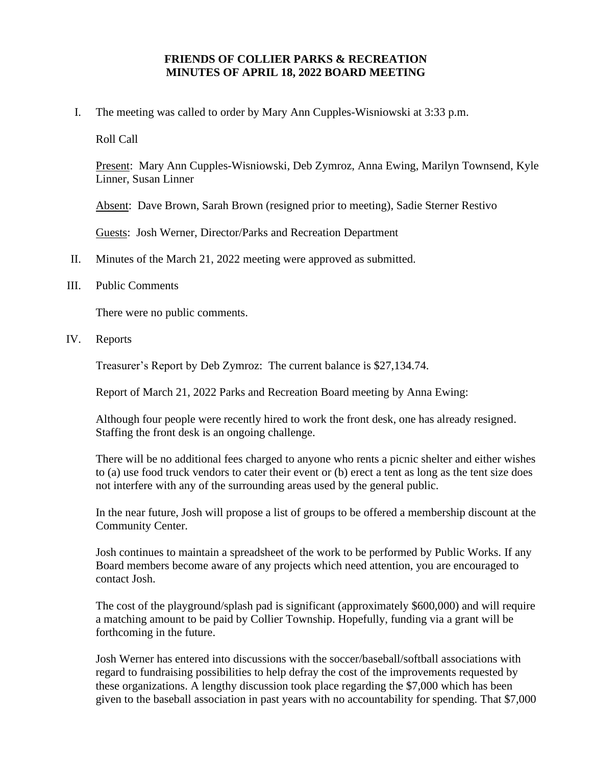## **FRIENDS OF COLLIER PARKS & RECREATION MINUTES OF APRIL 18, 2022 BOARD MEETING**

I. The meeting was called to order by Mary Ann Cupples-Wisniowski at 3:33 p.m.

Roll Call

Present: Mary Ann Cupples-Wisniowski, Deb Zymroz, Anna Ewing, Marilyn Townsend, Kyle Linner, Susan Linner

Absent: Dave Brown, Sarah Brown (resigned prior to meeting), Sadie Sterner Restivo

Guests: Josh Werner, Director/Parks and Recreation Department

- II. Minutes of the March 21, 2022 meeting were approved as submitted.
- III. Public Comments

There were no public comments.

IV. Reports

Treasurer's Report by Deb Zymroz: The current balance is \$27,134.74.

Report of March 21, 2022 Parks and Recreation Board meeting by Anna Ewing:

Although four people were recently hired to work the front desk, one has already resigned. Staffing the front desk is an ongoing challenge.

There will be no additional fees charged to anyone who rents a picnic shelter and either wishes to (a) use food truck vendors to cater their event or (b) erect a tent as long as the tent size does not interfere with any of the surrounding areas used by the general public.

In the near future, Josh will propose a list of groups to be offered a membership discount at the Community Center.

Josh continues to maintain a spreadsheet of the work to be performed by Public Works. If any Board members become aware of any projects which need attention, you are encouraged to contact Josh.

The cost of the playground/splash pad is significant (approximately \$600,000) and will require a matching amount to be paid by Collier Township. Hopefully, funding via a grant will be forthcoming in the future.

Josh Werner has entered into discussions with the soccer/baseball/softball associations with regard to fundraising possibilities to help defray the cost of the improvements requested by these organizations. A lengthy discussion took place regarding the \$7,000 which has been given to the baseball association in past years with no accountability for spending. That \$7,000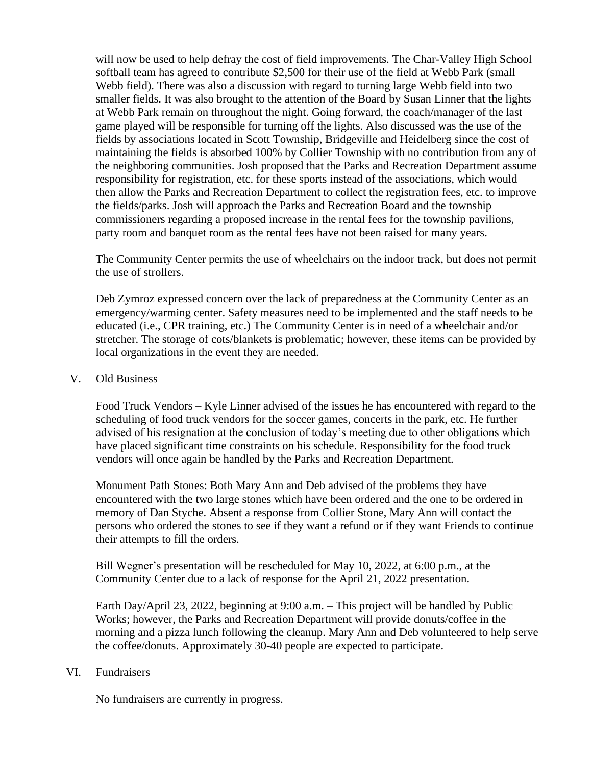will now be used to help defray the cost of field improvements. The Char-Valley High School softball team has agreed to contribute \$2,500 for their use of the field at Webb Park (small Webb field). There was also a discussion with regard to turning large Webb field into two smaller fields. It was also brought to the attention of the Board by Susan Linner that the lights at Webb Park remain on throughout the night. Going forward, the coach/manager of the last game played will be responsible for turning off the lights. Also discussed was the use of the fields by associations located in Scott Township, Bridgeville and Heidelberg since the cost of maintaining the fields is absorbed 100% by Collier Township with no contribution from any of the neighboring communities. Josh proposed that the Parks and Recreation Department assume responsibility for registration, etc. for these sports instead of the associations, which would then allow the Parks and Recreation Department to collect the registration fees, etc. to improve the fields/parks. Josh will approach the Parks and Recreation Board and the township commissioners regarding a proposed increase in the rental fees for the township pavilions, party room and banquet room as the rental fees have not been raised for many years.

The Community Center permits the use of wheelchairs on the indoor track, but does not permit the use of strollers.

Deb Zymroz expressed concern over the lack of preparedness at the Community Center as an emergency/warming center. Safety measures need to be implemented and the staff needs to be educated (i.e., CPR training, etc.) The Community Center is in need of a wheelchair and/or stretcher. The storage of cots/blankets is problematic; however, these items can be provided by local organizations in the event they are needed.

## V. Old Business

Food Truck Vendors – Kyle Linner advised of the issues he has encountered with regard to the scheduling of food truck vendors for the soccer games, concerts in the park, etc. He further advised of his resignation at the conclusion of today's meeting due to other obligations which have placed significant time constraints on his schedule. Responsibility for the food truck vendors will once again be handled by the Parks and Recreation Department.

Monument Path Stones: Both Mary Ann and Deb advised of the problems they have encountered with the two large stones which have been ordered and the one to be ordered in memory of Dan Styche. Absent a response from Collier Stone, Mary Ann will contact the persons who ordered the stones to see if they want a refund or if they want Friends to continue their attempts to fill the orders.

Bill Wegner's presentation will be rescheduled for May 10, 2022, at 6:00 p.m., at the Community Center due to a lack of response for the April 21, 2022 presentation.

Earth Day/April 23, 2022, beginning at 9:00 a.m. – This project will be handled by Public Works; however, the Parks and Recreation Department will provide donuts/coffee in the morning and a pizza lunch following the cleanup. Mary Ann and Deb volunteered to help serve the coffee/donuts. Approximately 30-40 people are expected to participate.

## VI. Fundraisers

No fundraisers are currently in progress.